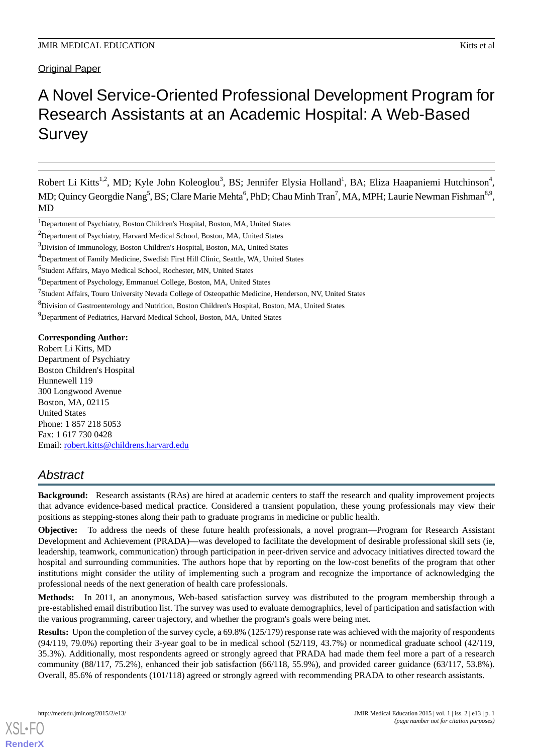Original Paper

# A Novel Service-Oriented Professional Development Program for Research Assistants at an Academic Hospital: A Web-Based **Survey**

Robert Li Kitts<sup>1,2</sup>, MD; Kyle John Koleoglou<sup>3</sup>, BS; Jennifer Elysia Holland<sup>1</sup>, BA; Eliza Haapaniemi Hutchinson<sup>4</sup>, MD; Quincy Georgdie Nang<sup>5</sup>, BS; Clare Marie Mehta<sup>6</sup>, PhD; Chau Minh Tran<sup>7</sup>, MA, MPH; Laurie Newman Fishman<sup>8,9</sup>, MD

<sup>9</sup>Department of Pediatrics, Harvard Medical School, Boston, MA, United States

### **Corresponding Author:**

Robert Li Kitts, MD Department of Psychiatry Boston Children's Hospital Hunnewell 119 300 Longwood Avenue Boston, MA, 02115 United States Phone: 1 857 218 5053 Fax: 1 617 730 0428 Email: [robert.kitts@childrens.harvard.edu](mailto:robert.kitts@childrens.harvard.edu)

# *Abstract*

**Background:** Research assistants (RAs) are hired at academic centers to staff the research and quality improvement projects that advance evidence-based medical practice. Considered a transient population, these young professionals may view their positions as stepping-stones along their path to graduate programs in medicine or public health.

**Objective:** To address the needs of these future health professionals, a novel program—Program for Research Assistant Development and Achievement (PRADA)—was developed to facilitate the development of desirable professional skill sets (ie, leadership, teamwork, communication) through participation in peer-driven service and advocacy initiatives directed toward the hospital and surrounding communities. The authors hope that by reporting on the low-cost benefits of the program that other institutions might consider the utility of implementing such a program and recognize the importance of acknowledging the professional needs of the next generation of health care professionals.

**Methods:** In 2011, an anonymous, Web-based satisfaction survey was distributed to the program membership through a pre-established email distribution list. The survey was used to evaluate demographics, level of participation and satisfaction with the various programming, career trajectory, and whether the program's goals were being met.

**Results:** Upon the completion of the survey cycle, a 69.8% (125/179) response rate was achieved with the majority of respondents (94/119, 79.0%) reporting their 3-year goal to be in medical school (52/119, 43.7%) or nonmedical graduate school (42/119, 35.3%). Additionally, most respondents agreed or strongly agreed that PRADA had made them feel more a part of a research community (88/117, 75.2%), enhanced their job satisfaction (66/118, 55.9%), and provided career guidance (63/117, 53.8%). Overall, 85.6% of respondents (101/118) agreed or strongly agreed with recommending PRADA to other research assistants.

[XSL](http://www.w3.org/Style/XSL)•FO **[RenderX](http://www.renderx.com/)**

<sup>1</sup>Department of Psychiatry, Boston Children's Hospital, Boston, MA, United States

<sup>2</sup>Department of Psychiatry, Harvard Medical School, Boston, MA, United States

<sup>&</sup>lt;sup>3</sup>Division of Immunology, Boston Children's Hospital, Boston, MA, United States

<sup>4</sup>Department of Family Medicine, Swedish First Hill Clinic, Seattle, WA, United States

<sup>5</sup> Student Affairs, Mayo Medical School, Rochester, MN, United States

<sup>&</sup>lt;sup>6</sup>Department of Psychology, Emmanuel College, Boston, MA, United States

<sup>&</sup>lt;sup>7</sup>Student Affairs, Touro University Nevada College of Osteopathic Medicine, Henderson, NV, United States

<sup>8</sup>Division of Gastroenterology and Nutrition, Boston Children's Hospital, Boston, MA, United States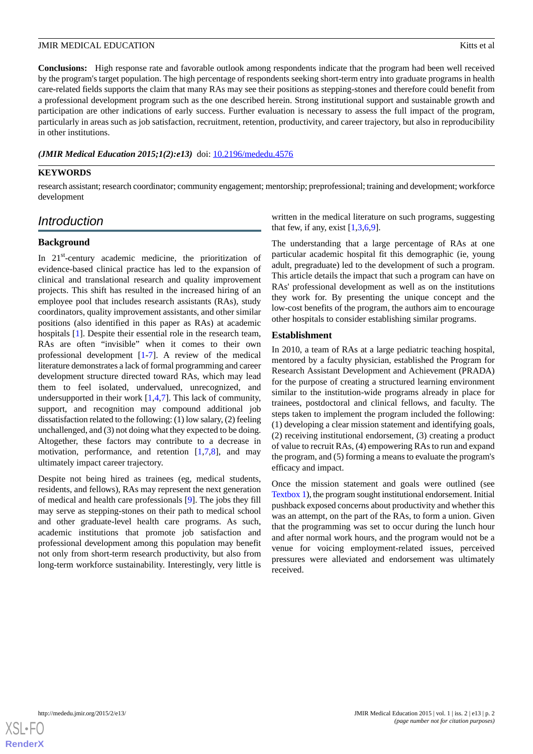**Conclusions:** High response rate and favorable outlook among respondents indicate that the program had been well received by the program's target population. The high percentage of respondents seeking short-term entry into graduate programs in health care-related fields supports the claim that many RAs may see their positions as stepping-stones and therefore could benefit from a professional development program such as the one described herein. Strong institutional support and sustainable growth and participation are other indications of early success. Further evaluation is necessary to assess the full impact of the program, particularly in areas such as job satisfaction, recruitment, retention, productivity, and career trajectory, but also in reproducibility in other institutions.

*(JMIR Medical Education 2015;1(2):e13)* doi: [10.2196/mededu.4576](http://dx.doi.org/10.2196/mededu.4576)

### **KEYWORDS**

research assistant; research coordinator; community engagement; mentorship; preprofessional; training and development; workforce development

# *Introduction*

### **Background**

In  $21<sup>st</sup>$ -century academic medicine, the prioritization of evidence-based clinical practice has led to the expansion of clinical and translational research and quality improvement projects. This shift has resulted in the increased hiring of an employee pool that includes research assistants (RAs), study coordinators, quality improvement assistants, and other similar positions (also identified in this paper as RAs) at academic hospitals [\[1](#page-4-0)]. Despite their essential role in the research team, RAs are often "invisible" when it comes to their own professional development [[1](#page-4-0)-[7\]](#page-5-0). A review of the medical literature demonstrates a lack of formal programming and career development structure directed toward RAs, which may lead them to feel isolated, undervalued, unrecognized, and undersupported in their work  $[1,4,7]$  $[1,4,7]$  $[1,4,7]$  $[1,4,7]$  $[1,4,7]$ . This lack of community, support, and recognition may compound additional job dissatisfaction related to the following: (1) low salary, (2) feeling unchallenged, and (3) not doing what they expected to be doing. Altogether, these factors may contribute to a decrease in motivation, performance, and retention  $[1,7,8]$  $[1,7,8]$  $[1,7,8]$  $[1,7,8]$  $[1,7,8]$ , and may ultimately impact career trajectory.

Despite not being hired as trainees (eg, medical students, residents, and fellows), RAs may represent the next generation of medical and health care professionals [[9\]](#page-5-2). The jobs they fill may serve as stepping-stones on their path to medical school and other graduate-level health care programs. As such, academic institutions that promote job satisfaction and professional development among this population may benefit not only from short-term research productivity, but also from long-term workforce sustainability. Interestingly, very little is

written in the medical literature on such programs, suggesting that few, if any, exist  $[1,3,6,9]$  $[1,3,6,9]$  $[1,3,6,9]$  $[1,3,6,9]$  $[1,3,6,9]$ .

The understanding that a large percentage of RAs at one particular academic hospital fit this demographic (ie, young adult, pregraduate) led to the development of such a program. This article details the impact that such a program can have on RAs' professional development as well as on the institutions they work for. By presenting the unique concept and the low-cost benefits of the program, the authors aim to encourage other hospitals to consider establishing similar programs.

### **Establishment**

In 2010, a team of RAs at a large pediatric teaching hospital, mentored by a faculty physician, established the Program for Research Assistant Development and Achievement (PRADA) for the purpose of creating a structured learning environment similar to the institution-wide programs already in place for trainees, postdoctoral and clinical fellows, and faculty. The steps taken to implement the program included the following: (1) developing a clear mission statement and identifying goals, (2) receiving institutional endorsement, (3) creating a product of value to recruit RAs, (4) empowering RAs to run and expand the program, and (5) forming a means to evaluate the program's efficacy and impact.

Once the mission statement and goals were outlined (see [Textbox 1](#page-2-0)), the program sought institutional endorsement. Initial pushback exposed concerns about productivity and whether this was an attempt, on the part of the RAs, to form a union. Given that the programming was set to occur during the lunch hour and after normal work hours, and the program would not be a venue for voicing employment-related issues, perceived pressures were alleviated and endorsement was ultimately received.

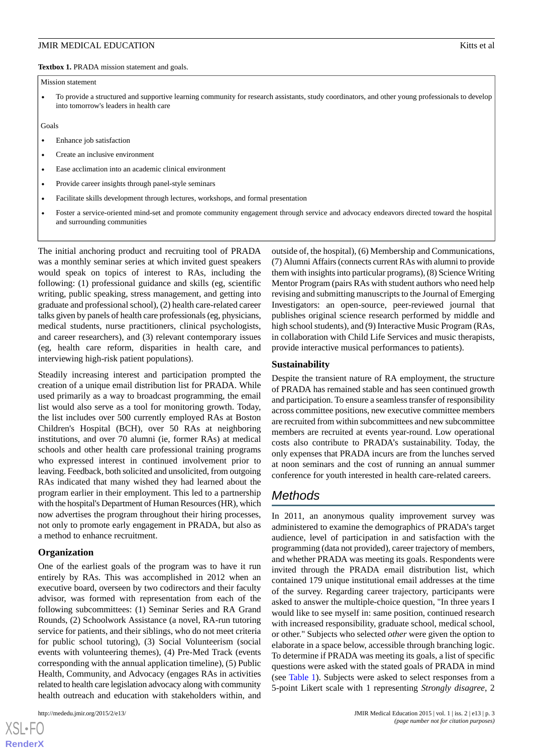<span id="page-2-0"></span>Textbox 1. PRADA mission statement and goals.

#### Mission statement

• To provide a structured and supportive learning community for research assistants, study coordinators, and other young professionals to develop into tomorrow's leaders in health care

Goals

- Enhance job satisfaction
- Create an inclusive environment
- Ease acclimation into an academic clinical environment
- Provide career insights through panel-style seminars
- Facilitate skills development through lectures, workshops, and formal presentation
- Foster a service-oriented mind-set and promote community engagement through service and advocacy endeavors directed toward the hospital and surrounding communities

The initial anchoring product and recruiting tool of PRADA was a monthly seminar series at which invited guest speakers would speak on topics of interest to RAs, including the following: (1) professional guidance and skills (eg, scientific writing, public speaking, stress management, and getting into graduate and professional school), (2) health care-related career talks given by panels of health care professionals (eg, physicians, medical students, nurse practitioners, clinical psychologists, and career researchers), and (3) relevant contemporary issues (eg, health care reform, disparities in health care, and interviewing high-risk patient populations).

Steadily increasing interest and participation prompted the creation of a unique email distribution list for PRADA. While used primarily as a way to broadcast programming, the email list would also serve as a tool for monitoring growth. Today, the list includes over 500 currently employed RAs at Boston Children's Hospital (BCH), over 50 RAs at neighboring institutions, and over 70 alumni (ie, former RAs) at medical schools and other health care professional training programs who expressed interest in continued involvement prior to leaving. Feedback, both solicited and unsolicited, from outgoing RAs indicated that many wished they had learned about the program earlier in their employment. This led to a partnership with the hospital's Department of Human Resources (HR), which now advertises the program throughout their hiring processes, not only to promote early engagement in PRADA, but also as a method to enhance recruitment.

### **Organization**

One of the earliest goals of the program was to have it run entirely by RAs. This was accomplished in 2012 when an executive board, overseen by two codirectors and their faculty advisor, was formed with representation from each of the following subcommittees: (1) Seminar Series and RA Grand Rounds, (2) Schoolwork Assistance (a novel, RA-run tutoring service for patients, and their siblings, who do not meet criteria for public school tutoring), (3) Social Volunteerism (social events with volunteering themes), (4) Pre-Med Track (events corresponding with the annual application timeline), (5) Public Health, Community, and Advocacy (engages RAs in activities related to health care legislation advocacy along with community health outreach and education with stakeholders within, and

outside of, the hospital), (6) Membership and Communications, (7) Alumni Affairs (connects current RAs with alumni to provide them with insights into particular programs), (8) Science Writing Mentor Program (pairs RAs with student authors who need help revising and submitting manuscripts to the Journal of Emerging Investigators: an open-source, peer-reviewed journal that publishes original science research performed by middle and high school students), and (9) Interactive Music Program (RAs, in collaboration with Child Life Services and music therapists, provide interactive musical performances to patients).

### **Sustainability**

Despite the transient nature of RA employment, the structure of PRADA has remained stable and has seen continued growth and participation. To ensure a seamless transfer of responsibility across committee positions, new executive committee members are recruited from within subcommittees and new subcommittee members are recruited at events year-round. Low operational costs also contribute to PRADA's sustainability. Today, the only expenses that PRADA incurs are from the lunches served at noon seminars and the cost of running an annual summer conference for youth interested in health care-related careers.

# *Methods*

In 2011, an anonymous quality improvement survey was administered to examine the demographics of PRADA's target audience, level of participation in and satisfaction with the programming (data not provided), career trajectory of members, and whether PRADA was meeting its goals. Respondents were invited through the PRADA email distribution list, which contained 179 unique institutional email addresses at the time of the survey. Regarding career trajectory, participants were asked to answer the multiple-choice question, "In three years I would like to see myself in: same position, continued research with increased responsibility, graduate school, medical school, or other." Subjects who selected *other* were given the option to elaborate in a space below, accessible through branching logic. To determine if PRADA was meeting its goals, a list of specific questions were asked with the stated goals of PRADA in mind (see [Table 1\)](#page-3-0). Subjects were asked to select responses from a 5-point Likert scale with 1 representing *Strongly disagree*, 2

```
XS • FO
RenderX
```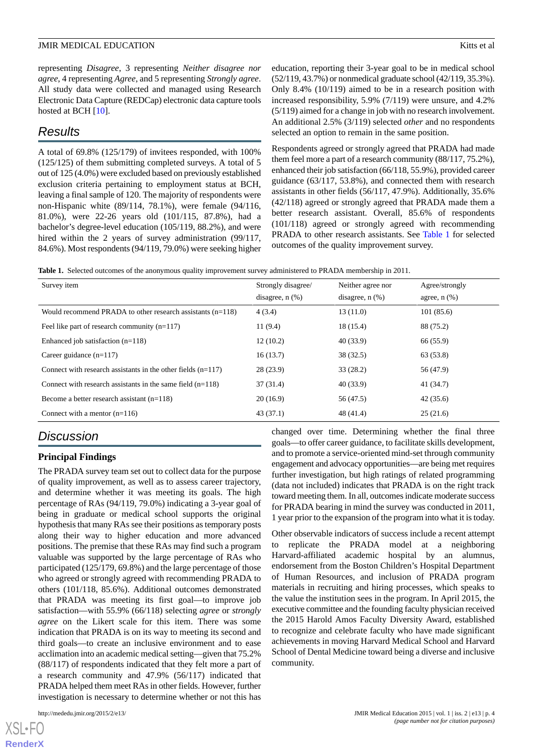representing *Disagree*, 3 representing *Neither disagree nor agree*, 4 representing *Agree*, and 5 representing *Strongly agree*. All study data were collected and managed using Research Electronic Data Capture (REDCap) electronic data capture tools hosted at BCH [\[10](#page-5-4)].

# *Results*

A total of 69.8% (125/179) of invitees responded, with 100% (125/125) of them submitting completed surveys. A total of 5 out of 125 (4.0%) were excluded based on previously established exclusion criteria pertaining to employment status at BCH, leaving a final sample of 120. The majority of respondents were non-Hispanic white (89/114, 78.1%), were female (94/116, 81.0%), were 22-26 years old (101/115, 87.8%), had a bachelor's degree-level education (105/119, 88.2%), and were hired within the 2 years of survey administration (99/117, 84.6%). Most respondents (94/119, 79.0%) were seeking higher education, reporting their 3-year goal to be in medical school (52/119, 43.7%) or nonmedical graduate school (42/119, 35.3%). Only 8.4% (10/119) aimed to be in a research position with increased responsibility, 5.9% (7/119) were unsure, and 4.2% (5/119) aimed for a change in job with no research involvement. An additional 2.5% (3/119) selected *other* and no respondents selected an option to remain in the same position.

Respondents agreed or strongly agreed that PRADA had made them feel more a part of a research community (88/117, 75.2%), enhanced their job satisfaction (66/118, 55.9%), provided career guidance (63/117, 53.8%), and connected them with research assistants in other fields (56/117, 47.9%). Additionally, 35.6% (42/118) agreed or strongly agreed that PRADA made them a better research assistant. Overall, 85.6% of respondents (101/118) agreed or strongly agreed with recommending PRADA to other research assistants. See [Table 1](#page-3-0) for selected outcomes of the quality improvement survey.

<span id="page-3-0"></span>**Table 1.** Selected outcomes of the anonymous quality improvement survey administered to PRADA membership in 2011.

| Survey item                                                    | Strongly disagree/<br>disagree, $n$ $(\%)$ | Neither agree nor<br>disagree, $n$ $(\%)$ | Agree/strongly<br>agree, $n$ $(\%)$ |
|----------------------------------------------------------------|--------------------------------------------|-------------------------------------------|-------------------------------------|
| Would recommend PRADA to other research assistants $(n=118)$   | 4(3.4)                                     | 13(11.0)                                  | 101(85.6)                           |
| Feel like part of research community $(n=117)$                 | 11(9.4)                                    | 18 (15.4)                                 | 88 (75.2)                           |
| Enhanced job satisfaction $(n=118)$                            | 12(10.2)                                   | 40(33.9)                                  | 66 (55.9)                           |
| Career guidance $(n=117)$                                      | 16(13.7)                                   | 38 (32.5)                                 | 63 (53.8)                           |
| Connect with research assistants in the other fields $(n=117)$ | 28(23.9)                                   | 33(28.2)                                  | 56 (47.9)                           |
| Connect with research assistants in the same field $(n=118)$   | 37(31.4)                                   | 40(33.9)                                  | 41 (34.7)                           |
| Become a better research assistant $(n=118)$                   | 20(16.9)                                   | 56 (47.5)                                 | 42(35.6)                            |
| Connect with a mentor $(n=116)$                                | 43(37.1)                                   | 48 (41.4)                                 | 25(21.6)                            |

# *Discussion*

# **Principal Findings**

The PRADA survey team set out to collect data for the purpose of quality improvement, as well as to assess career trajectory, and determine whether it was meeting its goals. The high percentage of RAs (94/119, 79.0%) indicating a 3-year goal of being in graduate or medical school supports the original hypothesis that many RAs see their positions as temporary posts along their way to higher education and more advanced positions. The premise that these RAs may find such a program valuable was supported by the large percentage of RAs who participated (125/179, 69.8%) and the large percentage of those who agreed or strongly agreed with recommending PRADA to others (101/118, 85.6%). Additional outcomes demonstrated that PRADA was meeting its first goal—to improve job satisfaction—with 55.9% (66/118) selecting *agree* or *strongly agree* on the Likert scale for this item. There was some indication that PRADA is on its way to meeting its second and third goals—to create an inclusive environment and to ease acclimation into an academic medical setting—given that 75.2% (88/117) of respondents indicated that they felt more a part of a research community and 47.9% (56/117) indicated that PRADA helped them meet RAs in other fields. However, further investigation is necessary to determine whether or not this has

 $XS$  $\cdot$ FC **[RenderX](http://www.renderx.com/)** changed over time. Determining whether the final three goals—to offer career guidance, to facilitate skills development, and to promote a service-oriented mind-set through community engagement and advocacy opportunities—are being met requires further investigation, but high ratings of related programming (data not included) indicates that PRADA is on the right track toward meeting them. In all, outcomes indicate moderate success for PRADA bearing in mind the survey was conducted in 2011, 1 year prior to the expansion of the program into what it is today.

Other observable indicators of success include a recent attempt to replicate the PRADA model at a neighboring Harvard-affiliated academic hospital by an alumnus, endorsement from the Boston Children's Hospital Department of Human Resources, and inclusion of PRADA program materials in recruiting and hiring processes, which speaks to the value the institution sees in the program. In April 2015, the executive committee and the founding faculty physician received the 2015 Harold Amos Faculty Diversity Award, established to recognize and celebrate faculty who have made significant achievements in moving Harvard Medical School and Harvard School of Dental Medicine toward being a diverse and inclusive community.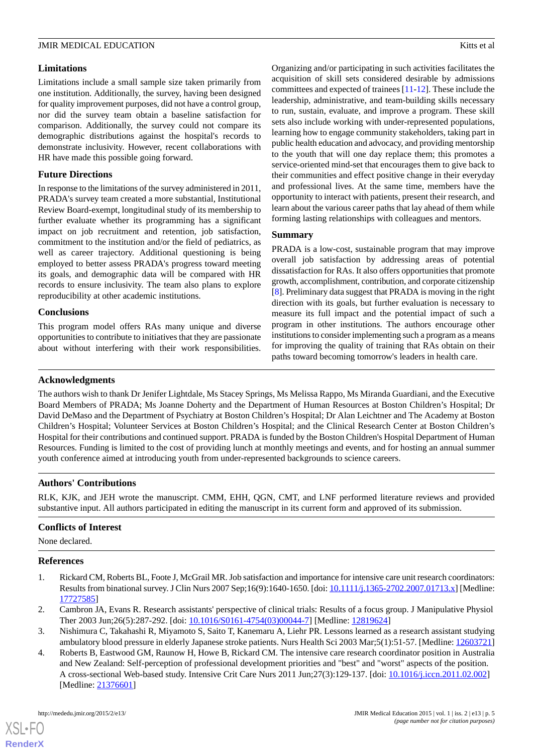### **Limitations**

Limitations include a small sample size taken primarily from one institution. Additionally, the survey, having been designed for quality improvement purposes, did not have a control group, nor did the survey team obtain a baseline satisfaction for comparison. Additionally, the survey could not compare its demographic distributions against the hospital's records to demonstrate inclusivity. However, recent collaborations with HR have made this possible going forward.

### **Future Directions**

In response to the limitations of the survey administered in 2011, PRADA's survey team created a more substantial, Institutional Review Board-exempt, longitudinal study of its membership to further evaluate whether its programming has a significant impact on job recruitment and retention, job satisfaction, commitment to the institution and/or the field of pediatrics, as well as career trajectory. Additional questioning is being employed to better assess PRADA's progress toward meeting its goals, and demographic data will be compared with HR records to ensure inclusivity. The team also plans to explore reproducibility at other academic institutions.

### **Conclusions**

This program model offers RAs many unique and diverse opportunities to contribute to initiatives that they are passionate about without interfering with their work responsibilities. Organizing and/or participating in such activities facilitates the acquisition of skill sets considered desirable by admissions committees and expected of trainees [\[11](#page-5-5)-[12\]](#page-5-6). These include the leadership, administrative, and team-building skills necessary to run, sustain, evaluate, and improve a program. These skill sets also include working with under-represented populations, learning how to engage community stakeholders, taking part in public health education and advocacy, and providing mentorship to the youth that will one day replace them; this promotes a service-oriented mind-set that encourages them to give back to their communities and effect positive change in their everyday and professional lives. At the same time, members have the opportunity to interact with patients, present their research, and learn about the various career paths that lay ahead of them while forming lasting relationships with colleagues and mentors.

### **Summary**

PRADA is a low-cost, sustainable program that may improve overall job satisfaction by addressing areas of potential dissatisfaction for RAs. It also offers opportunities that promote growth, accomplishment, contribution, and corporate citizenship [[8\]](#page-5-1). Preliminary data suggest that PRADA is moving in the right direction with its goals, but further evaluation is necessary to measure its full impact and the potential impact of such a program in other institutions. The authors encourage other institutions to consider implementing such a program as a means for improving the quality of training that RAs obtain on their paths toward becoming tomorrow's leaders in health care.

### **Acknowledgments**

The authors wish to thank Dr Jenifer Lightdale, Ms Stacey Springs, Ms Melissa Rappo, Ms Miranda Guardiani, and the Executive Board Members of PRADA; Ms Joanne Doherty and the Department of Human Resources at Boston Children's Hospital; Dr David DeMaso and the Department of Psychiatry at Boston Children's Hospital; Dr Alan Leichtner and The Academy at Boston Children's Hospital; Volunteer Services at Boston Children's Hospital; and the Clinical Research Center at Boston Children's Hospital for their contributions and continued support. PRADA is funded by the Boston Children's Hospital Department of Human Resources. Funding is limited to the cost of providing lunch at monthly meetings and events, and for hosting an annual summer youth conference aimed at introducing youth from under-represented backgrounds to science careers.

# **Authors' Contributions**

RLK, KJK, and JEH wrote the manuscript. CMM, EHH, QGN, CMT, and LNF performed literature reviews and provided substantive input. All authors participated in editing the manuscript in its current form and approved of its submission.

# <span id="page-4-0"></span>**Conflicts of Interest**

None declared.

### <span id="page-4-2"></span>**References**

- <span id="page-4-1"></span>1. Rickard CM, Roberts BL, Foote J, McGrail MR. Job satisfaction and importance for intensive care unit research coordinators: Results from binational survey. J Clin Nurs 2007 Sep;16(9):1640-1650. [doi: [10.1111/j.1365-2702.2007.01713.x](http://dx.doi.org/10.1111/j.1365-2702.2007.01713.x)] [Medline: [17727585](http://www.ncbi.nlm.nih.gov/entrez/query.fcgi?cmd=Retrieve&db=PubMed&list_uids=17727585&dopt=Abstract)]
- 2. Cambron JA, Evans R. Research assistants' perspective of clinical trials: Results of a focus group. J Manipulative Physiol Ther 2003 Jun;26(5):287-292. [doi: [10.1016/S0161-4754\(03\)00044-7](http://dx.doi.org/10.1016/S0161-4754(03)00044-7)] [Medline: [12819624](http://www.ncbi.nlm.nih.gov/entrez/query.fcgi?cmd=Retrieve&db=PubMed&list_uids=12819624&dopt=Abstract)]
- 3. Nishimura C, Takahashi R, Miyamoto S, Saito T, Kanemaru A, Liehr PR. Lessons learned as a research assistant studying ambulatory blood pressure in elderly Japanese stroke patients. Nurs Health Sci 2003 Mar;5(1):51-57. [Medline: [12603721](http://www.ncbi.nlm.nih.gov/entrez/query.fcgi?cmd=Retrieve&db=PubMed&list_uids=12603721&dopt=Abstract)]
- 4. Roberts B, Eastwood GM, Raunow H, Howe B, Rickard CM. The intensive care research coordinator position in Australia and New Zealand: Self-perception of professional development priorities and "best" and "worst" aspects of the position. A cross-sectional Web-based study. Intensive Crit Care Nurs 2011 Jun;27(3):129-137. [doi: [10.1016/j.iccn.2011.02.002](http://dx.doi.org/10.1016/j.iccn.2011.02.002)] [Medline: [21376601](http://www.ncbi.nlm.nih.gov/entrez/query.fcgi?cmd=Retrieve&db=PubMed&list_uids=21376601&dopt=Abstract)]

[XSL](http://www.w3.org/Style/XSL)•FO **[RenderX](http://www.renderx.com/)**